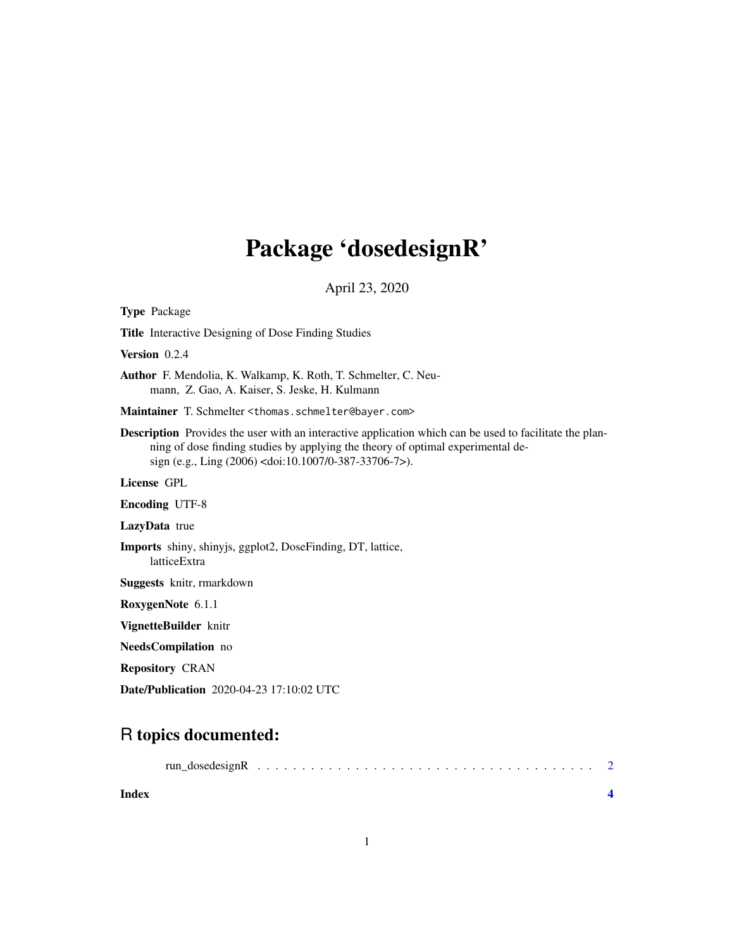## Package 'dosedesignR'

April 23, 2020

| <b>Type Package</b>                                                                                                                                                                                                                                         |
|-------------------------------------------------------------------------------------------------------------------------------------------------------------------------------------------------------------------------------------------------------------|
| <b>Title</b> Interactive Designing of Dose Finding Studies                                                                                                                                                                                                  |
| Version 0.2.4                                                                                                                                                                                                                                               |
| <b>Author</b> F. Mendolia, K. Walkamp, K. Roth, T. Schmelter, C. Neu-<br>mann, Z. Gao, A. Kaiser, S. Jeske, H. Kulmann                                                                                                                                      |
| Maintainer T. Schmelter <thomas.schmelter@bayer.com></thomas.schmelter@bayer.com>                                                                                                                                                                           |
| <b>Description</b> Provides the user with an interactive application which can be used to facilitate the plan-<br>ning of dose finding studies by applying the theory of optimal experimental de-<br>sign (e.g., Ling (2006) < doi:10.1007/0-387-33706-7>). |
| License GPL                                                                                                                                                                                                                                                 |
| <b>Encoding UTF-8</b>                                                                                                                                                                                                                                       |
| LazyData true                                                                                                                                                                                                                                               |
| Imports shiny, shinyjs, ggplot2, DoseFinding, DT, lattice,<br>latticeExtra                                                                                                                                                                                  |
| <b>Suggests</b> knitr, rmarkdown                                                                                                                                                                                                                            |
| RoxygenNote 6.1.1                                                                                                                                                                                                                                           |
| VignetteBuilder knitr                                                                                                                                                                                                                                       |
| NeedsCompilation no                                                                                                                                                                                                                                         |
| <b>Repository CRAN</b>                                                                                                                                                                                                                                      |
| <b>Date/Publication</b> 2020-04-23 17:10:02 UTC                                                                                                                                                                                                             |

### R topics documented:

| Index |  |  |
|-------|--|--|
|       |  |  |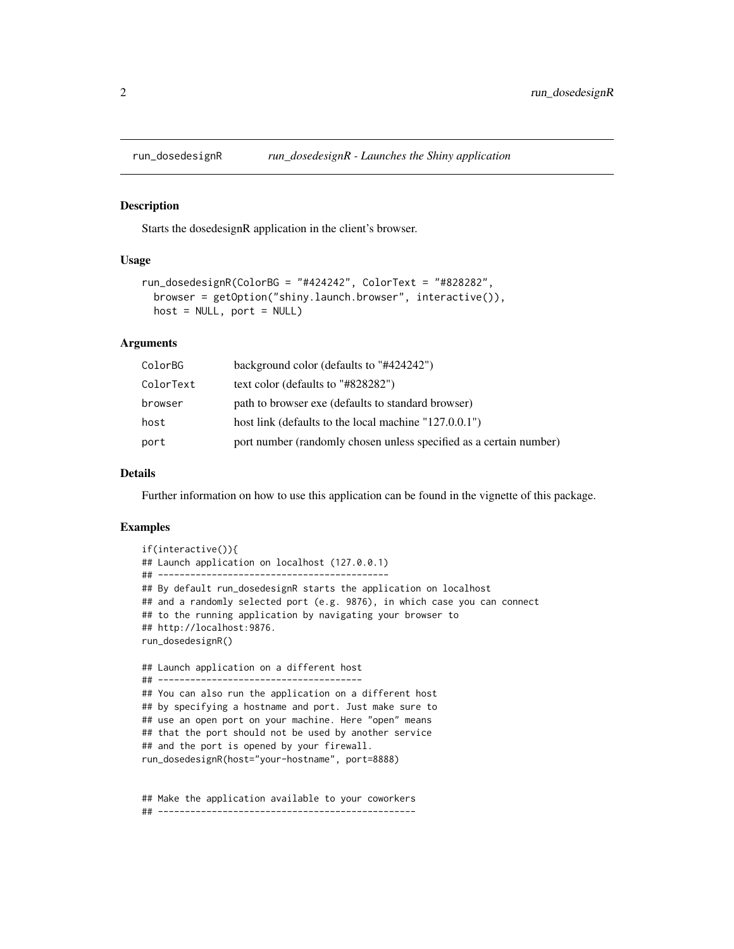<span id="page-1-0"></span>

#### Description

Starts the dosedesignR application in the client's browser.

#### Usage

```
run_dosedesignR(ColorBG = "#424242", ColorText = "#828282",
 browser = getOption("shiny.launch.browser", interactive()),
 host = NULL, port = NULL)
```
#### Arguments

| ColorBG   | background color (defaults to "#424242")                           |
|-----------|--------------------------------------------------------------------|
| ColorText | text color (defaults to "#828282")                                 |
| browser   | path to browser exe (defaults to standard browser)                 |
| host      | host link (defaults to the local machine "127.0.0.1")              |
| port      | port number (randomly chosen unless specified as a certain number) |

#### Details

Further information on how to use this application can be found in the vignette of this package.

#### Examples

```
if(interactive()){
## Launch application on localhost (127.0.0.1)
## -------------------------------------------
## By default run_dosedesignR starts the application on localhost
## and a randomly selected port (e.g. 9876), in which case you can connect
## to the running application by navigating your browser to
## http://localhost:9876.
run_dosedesignR()
## Launch application on a different host
## --------------------------------------
## You can also run the application on a different host
## by specifying a hostname and port. Just make sure to
## use an open port on your machine. Here "open" means
## that the port should not be used by another service
## and the port is opened by your firewall.
run_dosedesignR(host="your-hostname", port=8888)
```
## Make the application available to your coworkers ## ------------------------------------------------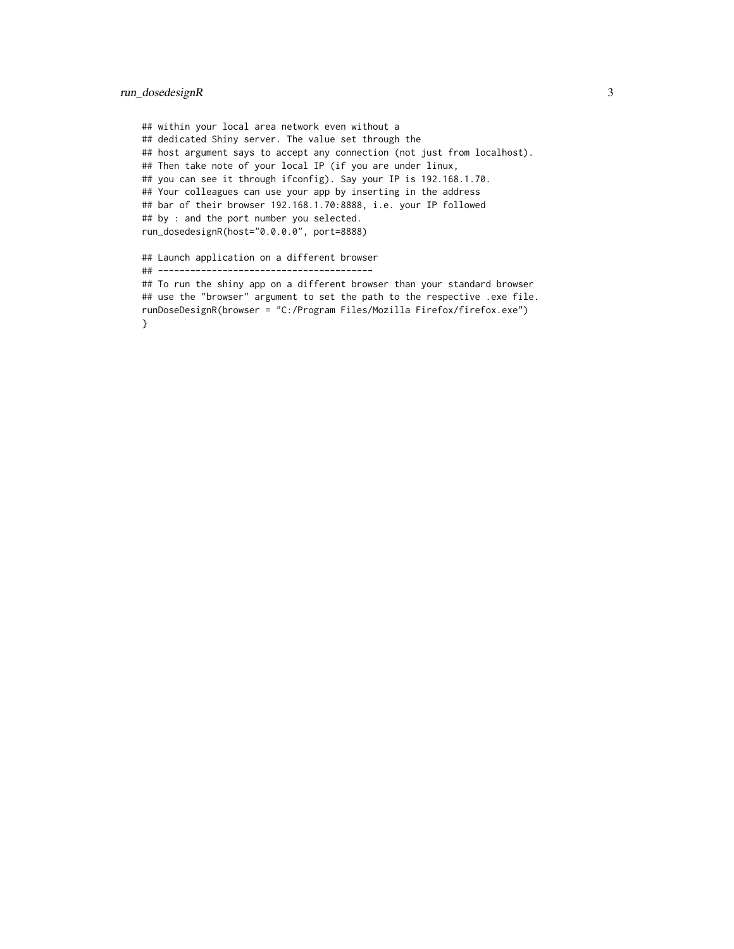#### run\_dosedesignR 3

```
## within your local area network even without a
## dedicated Shiny server. The value set through the
## host argument says to accept any connection (not just from localhost).
## Then take note of your local IP (if you are under linux,
## you can see it through ifconfig). Say your IP is 192.168.1.70.
## Your colleagues can use your app by inserting in the address
## bar of their browser 192.168.1.70:8888, i.e. your IP followed
## by : and the port number you selected.
run_dosedesignR(host="0.0.0.0", port=8888)
## Launch application on a different browser
## ----------------------------------------
```
## To run the shiny app on a different browser than your standard browser ## use the "browser" argument to set the path to the respective .exe file. runDoseDesignR(browser = "C:/Program Files/Mozilla Firefox/firefox.exe") }